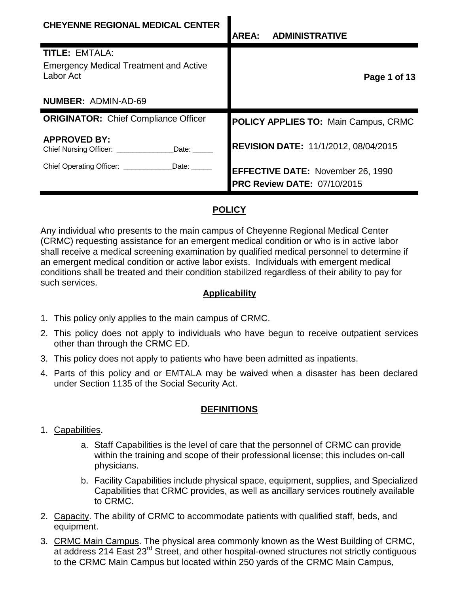| <b>CHEYENNE REGIONAL MEDICAL CENTER</b>                                             | <b>ADMINISTRATIVE</b><br><b>AREA:</b>                                          |
|-------------------------------------------------------------------------------------|--------------------------------------------------------------------------------|
| <b>TITLE: EMTALA:</b><br><b>Emergency Medical Treatment and Active</b><br>Labor Act | Page 1 of 13                                                                   |
| <b>NUMBER: ADMIN-AD-69</b>                                                          |                                                                                |
| <b>ORIGINATOR:</b> Chief Compliance Officer                                         | <b>POLICY APPLIES TO: Main Campus, CRMC</b>                                    |
| <b>APPROVED BY:</b><br>Date:<br>Chief Nursing Officer: __________                   | <b>REVISION DATE: 11/1/2012, 08/04/2015</b>                                    |
| Chief Operating Officer: _____________Date: ______                                  | <b>EFFECTIVE DATE: November 26, 1990</b><br><b>PRC Review DATE: 07/10/2015</b> |

# **POLICY**

Any individual who presents to the main campus of Cheyenne Regional Medical Center (CRMC) requesting assistance for an emergent medical condition or who is in active labor shall receive a medical screening examination by qualified medical personnel to determine if an emergent medical condition or active labor exists. Individuals with emergent medical conditions shall be treated and their condition stabilized regardless of their ability to pay for such services.

### **Applicability**

- 1. This policy only applies to the main campus of CRMC.
- 2. This policy does not apply to individuals who have begun to receive outpatient services other than through the CRMC ED.
- 3. This policy does not apply to patients who have been admitted as inpatients.
- 4. Parts of this policy and or EMTALA may be waived when a disaster has been declared under Section 1135 of the Social Security Act.

### **DEFINITIONS**

- 1. Capabilities.
	- a. Staff Capabilities is the level of care that the personnel of CRMC can provide within the training and scope of their professional license; this includes on-call physicians.
	- b. Facility Capabilities include physical space, equipment, supplies, and Specialized Capabilities that CRMC provides, as well as ancillary services routinely available to CRMC.
- 2. Capacity. The ability of CRMC to accommodate patients with qualified staff, beds, and equipment.
- 3. CRMC Main Campus. The physical area commonly known as the West Building of CRMC, at address 214 East 23<sup>rd</sup> Street, and other hospital-owned structures not strictly contiguous to the CRMC Main Campus but located within 250 yards of the CRMC Main Campus,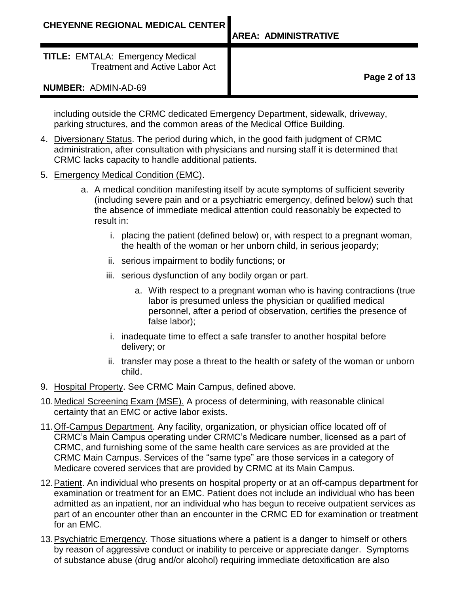**Page 2 of 13**

including outside the CRMC dedicated Emergency Department, sidewalk, driveway, parking structures, and the common areas of the Medical Office Building.

- 4. Diversionary Status. The period during which, in the good faith judgment of CRMC administration, after consultation with physicians and nursing staff it is determined that CRMC lacks capacity to handle additional patients.
- 5. Emergency Medical Condition (EMC).
	- a. A medical condition manifesting itself by acute symptoms of sufficient severity (including severe pain and or a psychiatric emergency, defined below) such that the absence of immediate medical attention could reasonably be expected to result in:
		- i. placing the patient (defined below) or, with respect to a pregnant woman, the health of the woman or her unborn child, in serious jeopardy;
		- ii. serious impairment to bodily functions; or
		- iii. serious dysfunction of any bodily organ or part.
			- a. With respect to a pregnant woman who is having contractions (true labor is presumed unless the physician or qualified medical personnel, after a period of observation, certifies the presence of false labor);
		- i. inadequate time to effect a safe transfer to another hospital before delivery; or
		- ii. transfer may pose a threat to the health or safety of the woman or unborn child.
- 9. Hospital Property. See CRMC Main Campus, defined above.
- 10.Medical Screening Exam (MSE). A process of determining, with reasonable clinical certainty that an EMC or active labor exists.
- 11.Off-Campus Department. Any facility, organization, or physician office located off of CRMC's Main Campus operating under CRMC's Medicare number, licensed as a part of CRMC, and furnishing some of the same health care services as are provided at the CRMC Main Campus. Services of the "same type" are those services in a category of Medicare covered services that are provided by CRMC at its Main Campus.
- 12.Patient. An individual who presents on hospital property or at an off-campus department for examination or treatment for an EMC. Patient does not include an individual who has been admitted as an inpatient, nor an individual who has begun to receive outpatient services as part of an encounter other than an encounter in the CRMC ED for examination or treatment for an EMC.
- 13.Psychiatric Emergency. Those situations where a patient is a danger to himself or others by reason of aggressive conduct or inability to perceive or appreciate danger. Symptoms of substance abuse (drug and/or alcohol) requiring immediate detoxification are also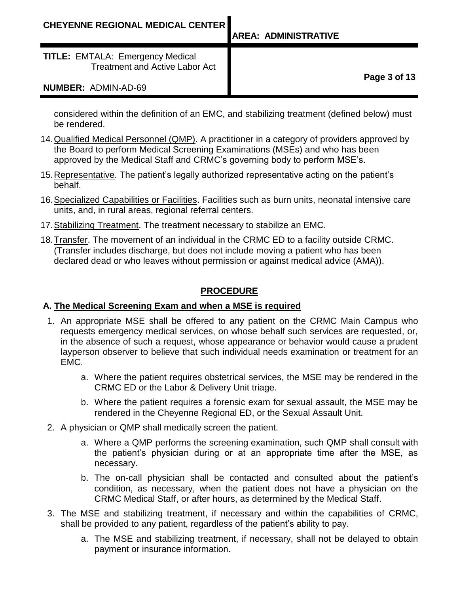**TITLE:** EMTALA: Emergency Medical Treatment and Active Labor Act

#### **NUMBER:** ADMIN-AD-69

**Page 3 of 13**

considered within the definition of an EMC, and stabilizing treatment (defined below) must be rendered.

- 14. Qualified Medical Personnel (QMP). A practitioner in a category of providers approved by the Board to perform Medical Screening Examinations (MSEs) and who has been approved by the Medical Staff and CRMC's governing body to perform MSE's.
- 15.Representative. The patient's legally authorized representative acting on the patient's behalf.
- 16.Specialized Capabilities or Facilities. Facilities such as burn units, neonatal intensive care units, and, in rural areas, regional referral centers.
- 17.Stabilizing Treatment. The treatment necessary to stabilize an EMC.
- 18.Transfer. The movement of an individual in the CRMC ED to a facility outside CRMC. (Transfer includes discharge, but does not include moving a patient who has been declared dead or who leaves without permission or against medical advice (AMA)).

### **PROCEDURE**

### **A. The Medical Screening Exam and when a MSE is required**

- 1. An appropriate MSE shall be offered to any patient on the CRMC Main Campus who requests emergency medical services, on whose behalf such services are requested, or, in the absence of such a request, whose appearance or behavior would cause a prudent layperson observer to believe that such individual needs examination or treatment for an EMC.
	- a. Where the patient requires obstetrical services, the MSE may be rendered in the CRMC ED or the Labor & Delivery Unit triage.
	- b. Where the patient requires a forensic exam for sexual assault, the MSE may be rendered in the Cheyenne Regional ED, or the Sexual Assault Unit.
- 2. A physician or QMP shall medically screen the patient.
	- a. Where a QMP performs the screening examination, such QMP shall consult with the patient's physician during or at an appropriate time after the MSE, as necessary.
	- b. The on-call physician shall be contacted and consulted about the patient's condition, as necessary, when the patient does not have a physician on the CRMC Medical Staff, or after hours, as determined by the Medical Staff.
- 3. The MSE and stabilizing treatment, if necessary and within the capabilities of CRMC, shall be provided to any patient, regardless of the patient's ability to pay.
	- a. The MSE and stabilizing treatment, if necessary, shall not be delayed to obtain payment or insurance information.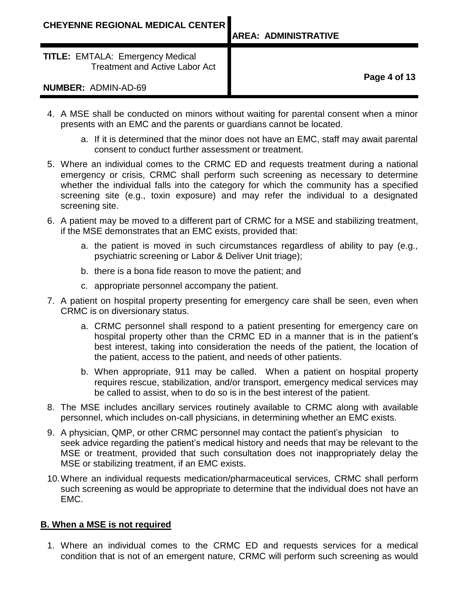**Page 4 of 13**

- 4. A MSE shall be conducted on minors without waiting for parental consent when a minor presents with an EMC and the parents or guardians cannot be located.
	- a. If it is determined that the minor does not have an EMC, staff may await parental consent to conduct further assessment or treatment.
- 5. Where an individual comes to the CRMC ED and requests treatment during a national emergency or crisis, CRMC shall perform such screening as necessary to determine whether the individual falls into the category for which the community has a specified screening site (e.g., toxin exposure) and may refer the individual to a designated screening site.
- 6. A patient may be moved to a different part of CRMC for a MSE and stabilizing treatment, if the MSE demonstrates that an EMC exists, provided that:
	- a. the patient is moved in such circumstances regardless of ability to pay (e.g., psychiatric screening or Labor & Deliver Unit triage);
	- b. there is a bona fide reason to move the patient; and
	- c. appropriate personnel accompany the patient.
- 7. A patient on hospital property presenting for emergency care shall be seen, even when CRMC is on diversionary status.
	- a. CRMC personnel shall respond to a patient presenting for emergency care on hospital property other than the CRMC ED in a manner that is in the patient's best interest, taking into consideration the needs of the patient, the location of the patient, access to the patient, and needs of other patients.
	- b. When appropriate, 911 may be called. When a patient on hospital property requires rescue, stabilization, and/or transport, emergency medical services may be called to assist, when to do so is in the best interest of the patient.
- 8. The MSE includes ancillary services routinely available to CRMC along with available personnel, which includes on-call physicians, in determining whether an EMC exists.
- 9. A physician, QMP, or other CRMC personnel may contact the patient's physician to seek advice regarding the patient's medical history and needs that may be relevant to the MSE or treatment, provided that such consultation does not inappropriately delay the MSE or stabilizing treatment, if an EMC exists.
- 10.Where an individual requests medication/pharmaceutical services, CRMC shall perform such screening as would be appropriate to determine that the individual does not have an EMC.

### **B. When a MSE is not required**

1. Where an individual comes to the CRMC ED and requests services for a medical condition that is not of an emergent nature, CRMC will perform such screening as would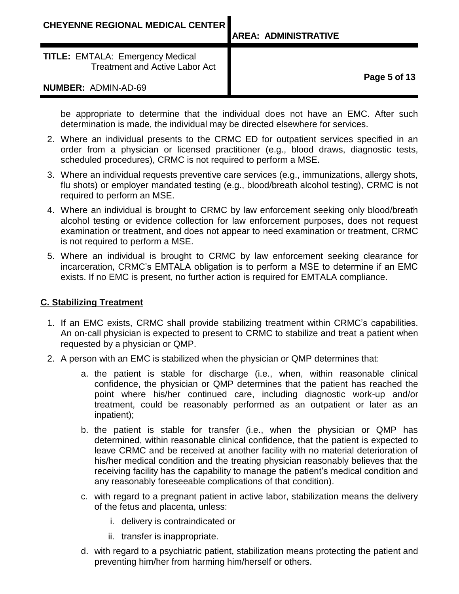**Page 5 of 13**

be appropriate to determine that the individual does not have an EMC. After such determination is made, the individual may be directed elsewhere for services.

- 2. Where an individual presents to the CRMC ED for outpatient services specified in an order from a physician or licensed practitioner (e.g., blood draws, diagnostic tests, scheduled procedures), CRMC is not required to perform a MSE.
- 3. Where an individual requests preventive care services (e.g., immunizations, allergy shots, flu shots) or employer mandated testing (e.g., blood/breath alcohol testing), CRMC is not required to perform an MSE.
- 4. Where an individual is brought to CRMC by law enforcement seeking only blood/breath alcohol testing or evidence collection for law enforcement purposes, does not request examination or treatment, and does not appear to need examination or treatment, CRMC is not required to perform a MSE.
- 5. Where an individual is brought to CRMC by law enforcement seeking clearance for incarceration, CRMC's EMTALA obligation is to perform a MSE to determine if an EMC exists. If no EMC is present, no further action is required for EMTALA compliance.

#### **C. Stabilizing Treatment**

- 1. If an EMC exists, CRMC shall provide stabilizing treatment within CRMC's capabilities. An on-call physician is expected to present to CRMC to stabilize and treat a patient when requested by a physician or QMP.
- 2. A person with an EMC is stabilized when the physician or QMP determines that:
	- a. the patient is stable for discharge (i.e., when, within reasonable clinical confidence, the physician or QMP determines that the patient has reached the point where his/her continued care, including diagnostic work-up and/or treatment, could be reasonably performed as an outpatient or later as an inpatient);
	- b. the patient is stable for transfer (i.e., when the physician or QMP has determined, within reasonable clinical confidence, that the patient is expected to leave CRMC and be received at another facility with no material deterioration of his/her medical condition and the treating physician reasonably believes that the receiving facility has the capability to manage the patient's medical condition and any reasonably foreseeable complications of that condition).
	- c. with regard to a pregnant patient in active labor, stabilization means the delivery of the fetus and placenta, unless:
		- i. delivery is contraindicated or
		- ii. transfer is inappropriate.
	- d. with regard to a psychiatric patient, stabilization means protecting the patient and preventing him/her from harming him/herself or others.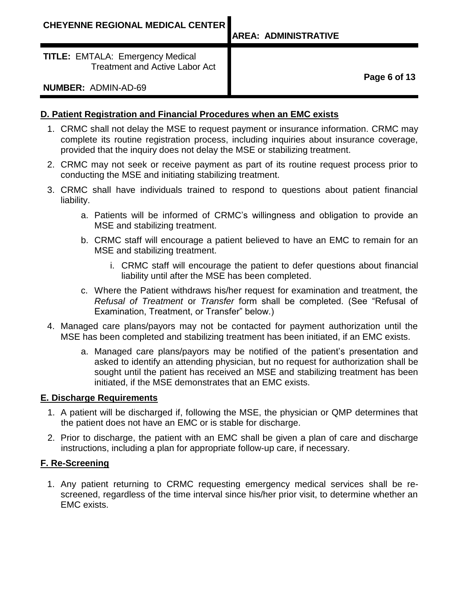**AREA: ADMINISTRATIVE**

**TITLE:** EMTALA: Emergency Medical Treatment and Active Labor Act

**Page 6 of 13**

### **NUMBER:** ADMIN-AD-69

# **D. Patient Registration and Financial Procedures when an EMC exists**

- 1. CRMC shall not delay the MSE to request payment or insurance information. CRMC may complete its routine registration process, including inquiries about insurance coverage, provided that the inquiry does not delay the MSE or stabilizing treatment.
- 2. CRMC may not seek or receive payment as part of its routine request process prior to conducting the MSE and initiating stabilizing treatment.
- 3. CRMC shall have individuals trained to respond to questions about patient financial liability.
	- a. Patients will be informed of CRMC's willingness and obligation to provide an MSE and stabilizing treatment.
	- b. CRMC staff will encourage a patient believed to have an EMC to remain for an MSE and stabilizing treatment.
		- i. CRMC staff will encourage the patient to defer questions about financial liability until after the MSE has been completed.
	- c. Where the Patient withdraws his/her request for examination and treatment, the *Refusal of Treatment* or *Transfer* form shall be completed. (See "Refusal of Examination, Treatment, or Transfer" below.)
- 4. Managed care plans/payors may not be contacted for payment authorization until the MSE has been completed and stabilizing treatment has been initiated, if an EMC exists.
	- a. Managed care plans/payors may be notified of the patient's presentation and asked to identify an attending physician, but no request for authorization shall be sought until the patient has received an MSE and stabilizing treatment has been initiated, if the MSE demonstrates that an EMC exists.

### **E. Discharge Requirements**

- 1. A patient will be discharged if, following the MSE, the physician or QMP determines that the patient does not have an EMC or is stable for discharge.
- 2. Prior to discharge, the patient with an EMC shall be given a plan of care and discharge instructions, including a plan for appropriate follow-up care, if necessary.

### **F. Re-Screening**

1. Any patient returning to CRMC requesting emergency medical services shall be rescreened, regardless of the time interval since his/her prior visit, to determine whether an EMC exists.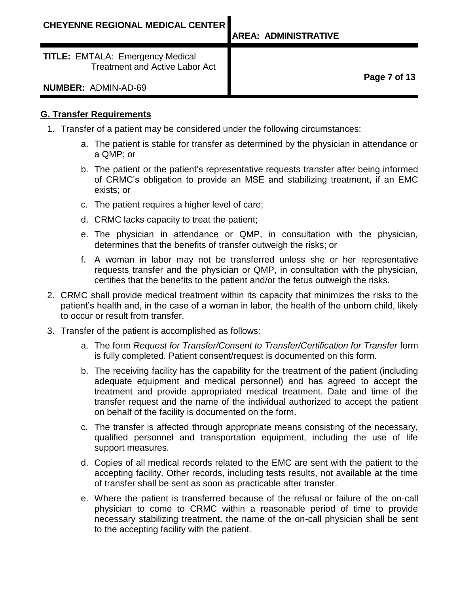#### **G. Transfer Requirements**

- 1. Transfer of a patient may be considered under the following circumstances:
	- a. The patient is stable for transfer as determined by the physician in attendance or a QMP; or
	- b. The patient or the patient's representative requests transfer after being informed of CRMC's obligation to provide an MSE and stabilizing treatment, if an EMC exists; or
	- c. The patient requires a higher level of care;
	- d. CRMC lacks capacity to treat the patient;
	- e. The physician in attendance or QMP, in consultation with the physician, determines that the benefits of transfer outweigh the risks; or
	- f. A woman in labor may not be transferred unless she or her representative requests transfer and the physician or QMP, in consultation with the physician, certifies that the benefits to the patient and/or the fetus outweigh the risks.
- 2. CRMC shall provide medical treatment within its capacity that minimizes the risks to the patient's health and, in the case of a woman in labor, the health of the unborn child, likely to occur or result from transfer.
- 3. Transfer of the patient is accomplished as follows:
	- a. The form *Request for Transfer/Consent to Transfer/Certification for Transfer* form is fully completed. Patient consent/request is documented on this form.
	- b. The receiving facility has the capability for the treatment of the patient (including adequate equipment and medical personnel) and has agreed to accept the treatment and provide appropriated medical treatment. Date and time of the transfer request and the name of the individual authorized to accept the patient on behalf of the facility is documented on the form.
	- c. The transfer is affected through appropriate means consisting of the necessary, qualified personnel and transportation equipment, including the use of life support measures.
	- d. Copies of all medical records related to the EMC are sent with the patient to the accepting facility. Other records, including tests results, not available at the time of transfer shall be sent as soon as practicable after transfer.
	- e. Where the patient is transferred because of the refusal or failure of the on-call physician to come to CRMC within a reasonable period of time to provide necessary stabilizing treatment, the name of the on-call physician shall be sent to the accepting facility with the patient.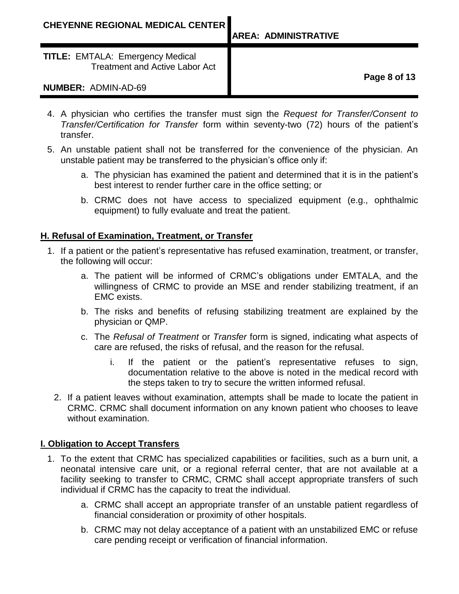**Page 8 of 13**

- 4. A physician who certifies the transfer must sign the *Request for Transfer/Consent to Transfer/Certification for Transfer* form within seventy-two (72) hours of the patient's transfer.
- 5. An unstable patient shall not be transferred for the convenience of the physician. An unstable patient may be transferred to the physician's office only if:
	- a. The physician has examined the patient and determined that it is in the patient's best interest to render further care in the office setting; or
	- b. CRMC does not have access to specialized equipment (e.g., ophthalmic equipment) to fully evaluate and treat the patient.

### **H. Refusal of Examination, Treatment, or Transfer**

- 1. If a patient or the patient's representative has refused examination, treatment, or transfer, the following will occur:
	- a. The patient will be informed of CRMC's obligations under EMTALA, and the willingness of CRMC to provide an MSE and render stabilizing treatment, if an EMC exists.
	- b. The risks and benefits of refusing stabilizing treatment are explained by the physician or QMP.
	- c. The *Refusal of Treatment* or *Transfer* form is signed, indicating what aspects of care are refused, the risks of refusal, and the reason for the refusal.
		- i. If the patient or the patient's representative refuses to sign, documentation relative to the above is noted in the medical record with the steps taken to try to secure the written informed refusal.
	- 2. If a patient leaves without examination, attempts shall be made to locate the patient in CRMC. CRMC shall document information on any known patient who chooses to leave without examination.

### **I. Obligation to Accept Transfers**

- 1. To the extent that CRMC has specialized capabilities or facilities, such as a burn unit, a neonatal intensive care unit, or a regional referral center, that are not available at a facility seeking to transfer to CRMC, CRMC shall accept appropriate transfers of such individual if CRMC has the capacity to treat the individual.
	- a. CRMC shall accept an appropriate transfer of an unstable patient regardless of financial consideration or proximity of other hospitals.
	- b. CRMC may not delay acceptance of a patient with an unstabilized EMC or refuse care pending receipt or verification of financial information.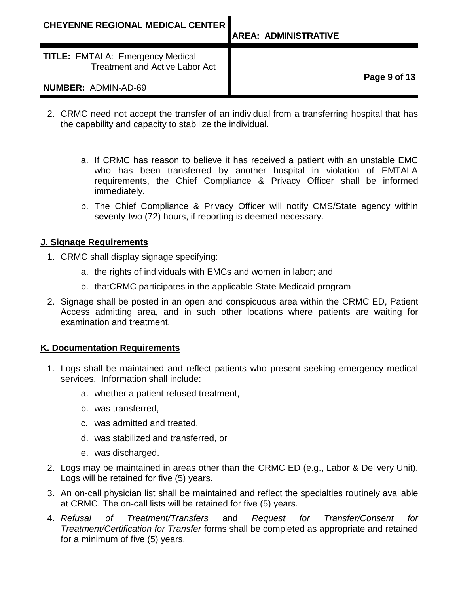- 2. CRMC need not accept the transfer of an individual from a transferring hospital that has the capability and capacity to stabilize the individual.
	- a. If CRMC has reason to believe it has received a patient with an unstable EMC who has been transferred by another hospital in violation of EMTALA requirements, the Chief Compliance & Privacy Officer shall be informed immediately.
	- b. The Chief Compliance & Privacy Officer will notify CMS/State agency within seventy-two (72) hours, if reporting is deemed necessary.

#### **J. Signage Requirements**

- 1. CRMC shall display signage specifying:
	- a. the rights of individuals with EMCs and women in labor; and
	- b. thatCRMC participates in the applicable State Medicaid program
- 2. Signage shall be posted in an open and conspicuous area within the CRMC ED, Patient Access admitting area, and in such other locations where patients are waiting for examination and treatment.

### **K. Documentation Requirements**

- 1. Logs shall be maintained and reflect patients who present seeking emergency medical services. Information shall include:
	- a. whether a patient refused treatment,
	- b. was transferred,
	- c. was admitted and treated,
	- d. was stabilized and transferred, or
	- e. was discharged.
- 2. Logs may be maintained in areas other than the CRMC ED (e.g., Labor & Delivery Unit). Logs will be retained for five (5) years.
- 3. An on-call physician list shall be maintained and reflect the specialties routinely available at CRMC. The on-call lists will be retained for five (5) years.
- 4. *Refusal of Treatment/Transfers* and *Request for Transfer/Consent for Treatment/Certification for Transfer* forms shall be completed as appropriate and retained for a minimum of five (5) years.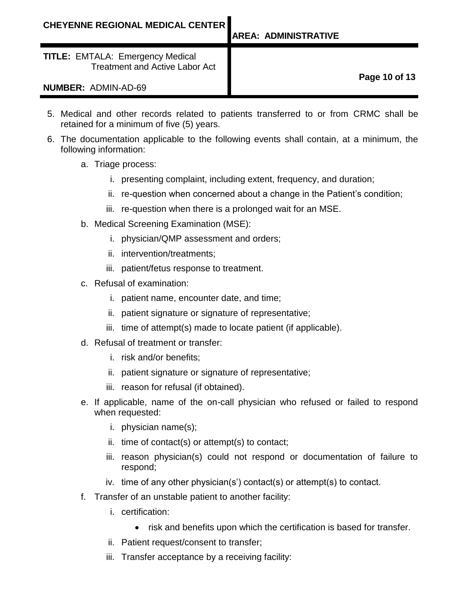**Page 10 of 13**

- 5. Medical and other records related to patients transferred to or from CRMC shall be retained for a minimum of five (5) years.
- 6. The documentation applicable to the following events shall contain, at a minimum, the following information:
	- a. Triage process:
		- i. presenting complaint, including extent, frequency, and duration;
		- ii. re-question when concerned about a change in the Patient's condition;
		- iii. re-question when there is a prolonged wait for an MSE.
	- b. Medical Screening Examination (MSE):
		- i. physician/QMP assessment and orders;
		- ii. intervention/treatments;
		- iii. patient/fetus response to treatment.
	- c. Refusal of examination:
		- i. patient name, encounter date, and time;
		- ii. patient signature or signature of representative;
		- iii. time of attempt(s) made to locate patient (if applicable).
	- d. Refusal of treatment or transfer:
		- i. risk and/or benefits;
		- ii. patient signature or signature of representative;
		- iii. reason for refusal (if obtained).
	- e. If applicable, name of the on-call physician who refused or failed to respond when requested:
		- i. physician name(s);
		- ii. time of contact(s) or attempt(s) to contact;
		- iii. reason physician(s) could not respond or documentation of failure to respond;
		- iv. time of any other physician(s') contact(s) or attempt(s) to contact.
	- f. Transfer of an unstable patient to another facility:
		- i. certification:
			- risk and benefits upon which the certification is based for transfer.
		- ii. Patient request/consent to transfer;
		- iii. Transfer acceptance by a receiving facility: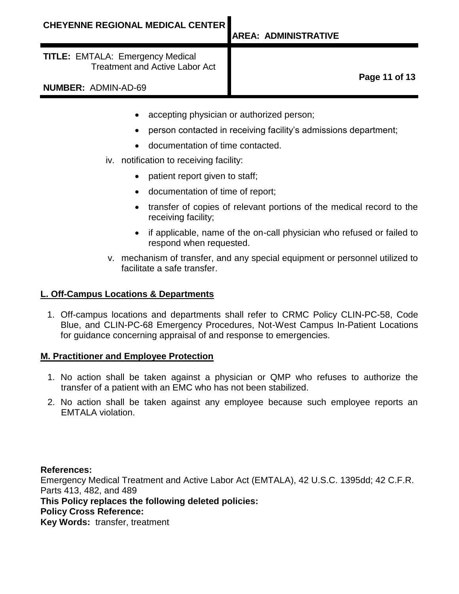**TITLE:** EMTALA: Emergency Medical Treatment and Active Labor Act

**Page 11 of 13**

**NUMBER:** ADMIN-AD-69

- accepting physician or authorized person;
- person contacted in receiving facility's admissions department;
- documentation of time contacted.
- iv. notification to receiving facility:
	- patient report given to staff;
	- documentation of time of report;
	- transfer of copies of relevant portions of the medical record to the receiving facility;
	- if applicable, name of the on-call physician who refused or failed to respond when requested.
- v. mechanism of transfer, and any special equipment or personnel utilized to facilitate a safe transfer.

#### **L. Off-Campus Locations & Departments**

1. Off-campus locations and departments shall refer to CRMC Policy CLIN-PC-58, Code Blue, and CLIN-PC-68 Emergency Procedures, Not-West Campus In-Patient Locations for guidance concerning appraisal of and response to emergencies.

#### **M. Practitioner and Employee Protection**

- 1. No action shall be taken against a physician or QMP who refuses to authorize the transfer of a patient with an EMC who has not been stabilized.
- 2. No action shall be taken against any employee because such employee reports an EMTALA violation.

#### **References:**

Emergency Medical Treatment and Active Labor Act (EMTALA), 42 U.S.C. 1395dd; 42 C.F.R. Parts 413, 482, and 489

#### **This Policy replaces the following deleted policies:**

## **Policy Cross Reference:**

**Key Words:** transfer, treatment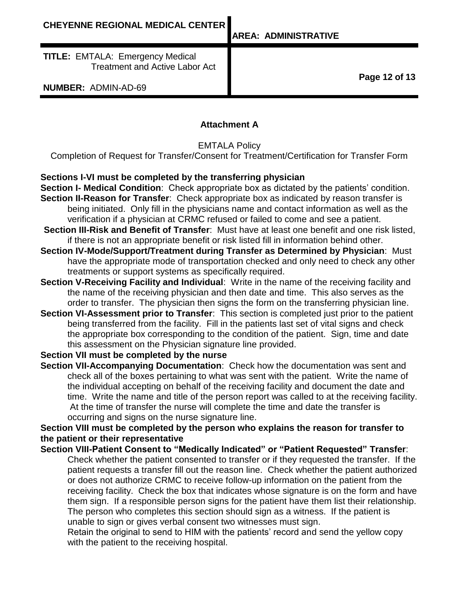**AREA: ADMINISTRATIVE**

**TITLE:** EMTALA: Emergency Medical Treatment and Active Labor Act

**NUMBER:** ADMIN-AD-69

**Page 12 of 13**

### **Attachment A**

EMTALA Policy

Completion of Request for Transfer/Consent for Treatment/Certification for Transfer Form

### **Sections I-VI must be completed by the transferring physician**

- **Section I- Medical Condition**: Check appropriate box as dictated by the patients' condition. **Section II-Reason for Transfer**: Check appropriate box as indicated by reason transfer is being initiated. Only fill in the physicians name and contact information as well as the verification if a physician at CRMC refused or failed to come and see a patient.
- **Section III-Risk and Benefit of Transfer**: Must have at least one benefit and one risk listed, if there is not an appropriate benefit or risk listed fill in information behind other.
- **Section IV-Mode/Support/Treatment during Transfer as Determined by Physician**: Must have the appropriate mode of transportation checked and only need to check any other treatments or support systems as specifically required.
- **Section V-Receiving Facility and Individual:** Write in the name of the receiving facility and the name of the receiving physician and then date and time. This also serves as the order to transfer. The physician then signs the form on the transferring physician line.
- **Section VI-Assessment prior to Transfer**: This section is completed just prior to the patient being transferred from the facility. Fill in the patients last set of vital signs and check the appropriate box corresponding to the condition of the patient. Sign, time and date this assessment on the Physician signature line provided.

### **Section VII must be completed by the nurse**

**Section VII-Accompanying Documentation**: Check how the documentation was sent and check all of the boxes pertaining to what was sent with the patient. Write the name of the individual accepting on behalf of the receiving facility and document the date and time. Write the name and title of the person report was called to at the receiving facility. At the time of transfer the nurse will complete the time and date the transfer is occurring and signs on the nurse signature line.

# **Section VIII must be completed by the person who explains the reason for transfer to the patient or their representative**

**Section VIII-Patient Consent to "Medically Indicated" or "Patient Requested" Transfer**: Check whether the patient consented to transfer or if they requested the transfer. If the patient requests a transfer fill out the reason line. Check whether the patient authorized or does not authorize CRMC to receive follow-up information on the patient from the receiving facility. Check the box that indicates whose signature is on the form and have them sign. If a responsible person signs for the patient have them list their relationship. The person who completes this section should sign as a witness. If the patient is unable to sign or gives verbal consent two witnesses must sign.

Retain the original to send to HIM with the patients' record and send the yellow copy with the patient to the receiving hospital.